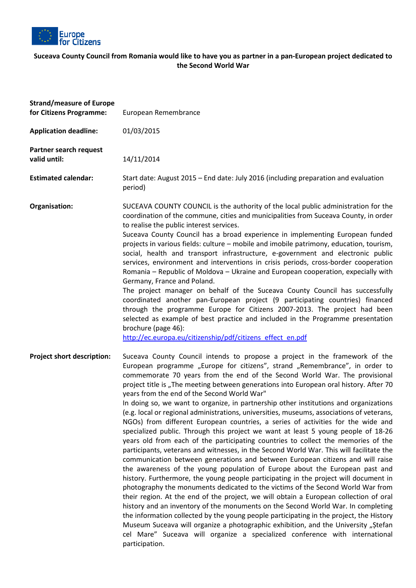

## **Suceava County Council from Romania would like to have you as partner in a pan-European European project dedicated to the Second World War**

| <b>Strand/measure of Europe</b><br>for Citizens Programme: | European Remembrance                                                                                                                                                                                                                                                                                                                                                                                                                                                                                                                                                                                                                                                                                                                                                                                                                                                                                                                                                                                                                                                                                                                                                                                                                                                                                                                                                                                                                                                                                                                                                                                                                                                                                                                        |
|------------------------------------------------------------|---------------------------------------------------------------------------------------------------------------------------------------------------------------------------------------------------------------------------------------------------------------------------------------------------------------------------------------------------------------------------------------------------------------------------------------------------------------------------------------------------------------------------------------------------------------------------------------------------------------------------------------------------------------------------------------------------------------------------------------------------------------------------------------------------------------------------------------------------------------------------------------------------------------------------------------------------------------------------------------------------------------------------------------------------------------------------------------------------------------------------------------------------------------------------------------------------------------------------------------------------------------------------------------------------------------------------------------------------------------------------------------------------------------------------------------------------------------------------------------------------------------------------------------------------------------------------------------------------------------------------------------------------------------------------------------------------------------------------------------------|
| <b>Application deadline:</b>                               | 01/03/2015                                                                                                                                                                                                                                                                                                                                                                                                                                                                                                                                                                                                                                                                                                                                                                                                                                                                                                                                                                                                                                                                                                                                                                                                                                                                                                                                                                                                                                                                                                                                                                                                                                                                                                                                  |
| Partner search request<br>valid until:                     | 14/11/2014                                                                                                                                                                                                                                                                                                                                                                                                                                                                                                                                                                                                                                                                                                                                                                                                                                                                                                                                                                                                                                                                                                                                                                                                                                                                                                                                                                                                                                                                                                                                                                                                                                                                                                                                  |
| <b>Estimated calendar:</b>                                 | Start date: August 2015 – End date: July 2016 (including preparation and evaluation<br>period)                                                                                                                                                                                                                                                                                                                                                                                                                                                                                                                                                                                                                                                                                                                                                                                                                                                                                                                                                                                                                                                                                                                                                                                                                                                                                                                                                                                                                                                                                                                                                                                                                                              |
| Organisation:                                              | SUCEAVA COUNTY COUNCIL is the authority of the local public administration for the<br>coordination of the commune, cities and municipalities from Suceava County, in order<br>to realise the public interest services.<br>Suceava County Council has a broad experience in implementing European funded<br>projects in various fields: culture - mobile and imobile patrimony, education, tourism,<br>social, health and transport infrastructure, e-government and electronic public<br>services, environment and interventions in crisis periods, cross-border cooperation<br>Romania - Republic of Moldova - Ukraine and European cooperation, expecially with<br>Germany, France and Poland.<br>The project manager on behalf of the Suceava County Council has successfully<br>coordinated another pan-European project (9 participating countries) financed<br>through the programme Europe for Citizens 2007-2013. The project had been<br>selected as example of best practice and included in the Programme presentation<br>brochure (page 46):<br>http://ec.europa.eu/citizenship/pdf/citizens effect en.pdf                                                                                                                                                                                                                                                                                                                                                                                                                                                                                                                                                                                                                      |
| Project short description:                                 | Suceava County Council intends to propose a project in the framework of the<br>European programme "Europe for citizens", strand "Remembrance", in order to<br>commemorate 70 years from the end of the Second World War. The provisional<br>project title is "The meeting between generations into European oral history. After 70<br>years from the end of the Second World War"<br>In doing so, we want to organize, in partnership other institutions and organizations<br>(e.g. local or regional administrations, universities, museums, associations of veterans,<br>NGOs) from different European countries, a series of activities for the wide and<br>specialized public. Through this project we want at least 5 young people of 18-26<br>years old from each of the participating countries to collect the memories of the<br>participants, veterans and witnesses, in the Second World War. This will facilitate the<br>communication between generations and between European citizens and will raise<br>the awareness of the young population of Europe about the European past and<br>history. Furthermore, the young people participating in the project will document in<br>photography the monuments dedicated to the victims of the Second World War from<br>their region. At the end of the project, we will obtain a European collection of oral<br>history and an inventory of the monuments on the Second World War. In completing<br>the information collected by the young people participating in the project, the History<br>Museum Suceava will organize a photographic exhibition, and the University "Stefan<br>cel Mare" Suceava will organize a specialized conference with international<br>participation. |